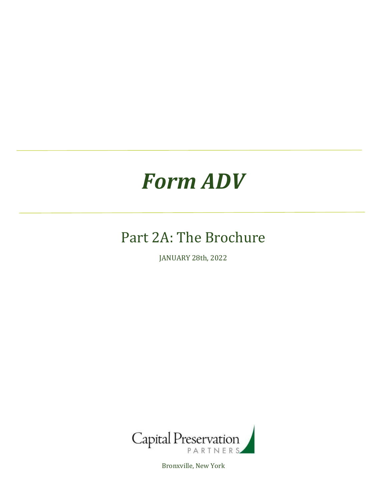# *Form ADV*

# Part 2A: The Brochure

JANUARY 28th, 2022



Bronxville, New York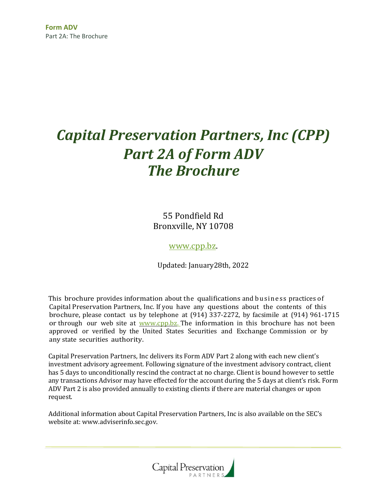# *Capital Preservation Partners, Inc (CPP) Part 2A of Form ADV The Brochure*

55 Pondfield Rd Bronxville, NY 10708

[www.cpp.bz.](http://www.cpp.bz/)

Updated: January28th, 2022

This brochure provides information about the qualifications and business practices of Capital Preservation Partners, Inc. If you have any questions about the contents of this brochure, please contact us by telephone at (914) 337-2272, by facsimile at (914) 961-1715 or through our web site at www.cpp.bz. The information in this brochure has not been approved or verified by the United States Securities and Exchange Commission or by any state securities authority.

Capital Preservation Partners, Inc delivers its Form ADV Part 2 along with each new client's investment advisory agreement. Following signature of the investment advisory contract, client has 5 days to unconditionally rescind the contract at no charge. Client is bound however to settle any transactions Advisor may have effected for the account during the 5 days at client's risk. Form ADV Part 2 is also provided annually to existing clients if there are material changes or upon request.

Additional information about Capital Preservation Partners, Inc is also available on the SEC's website at: www.adviserinfo.sec.gov.

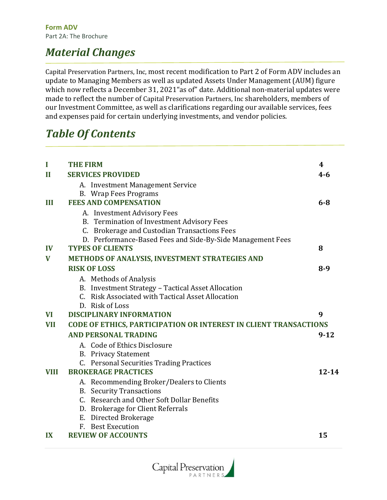### *Material Changes*

Capital Preservation Partners, Inc, most recent modification to Part 2 of Form ADV includes an update to Managing Members as well as updated Assets Under Management (AUM) figure which now reflects a December 31, 2021"as of" date. Additional non-material updates were made to reflect the number of Capital Preservation Partners, Inc shareholders, members of our Investment Committee, as well as clarifications regarding our available services, fees and expenses paid for certain underlying investments, and vendor policies.

### *Table Of Contents*

| I             | <b>THE FIRM</b>                                                  | 4         |  |
|---------------|------------------------------------------------------------------|-----------|--|
| $\mathbf{I}$  | <b>SERVICES PROVIDED</b>                                         | $4 - 6$   |  |
|               | A. Investment Management Service                                 |           |  |
|               | B. Wrap Fees Programs                                            |           |  |
| Ш             | <b>FEES AND COMPENSATION</b>                                     | $6 - 8$   |  |
|               | A. Investment Advisory Fees                                      |           |  |
|               | B. Termination of Investment Advisory Fees                       |           |  |
|               | C. Brokerage and Custodian Transactions Fees                     |           |  |
|               | D. Performance-Based Fees and Side-By-Side Management Fees       |           |  |
| $\mathbf{IV}$ | <b>TYPES OF CLIENTS</b>                                          | 8         |  |
| $\mathbf{V}$  | METHODS OF ANALYSIS, INVESTMENT STRATEGIES AND                   |           |  |
|               | <b>RISK OF LOSS</b>                                              | $8-9$     |  |
|               | A. Methods of Analysis                                           |           |  |
|               | B. Investment Strategy - Tactical Asset Allocation               |           |  |
|               | C. Risk Associated with Tactical Asset Allocation                |           |  |
|               | D. Risk of Loss                                                  |           |  |
| <b>VI</b>     | <b>DISCIPLINARY INFORMATION</b>                                  | 9         |  |
| <b>VII</b>    | CODE OF ETHICS, PARTICIPATION OR INTEREST IN CLIENT TRANSACTIONS |           |  |
|               | <b>AND PERSONAL TRADING</b>                                      | $9 - 12$  |  |
|               | A. Code of Ethics Disclosure                                     |           |  |
|               | <b>B.</b> Privacy Statement                                      |           |  |
|               | C. Personal Securities Trading Practices                         |           |  |
| <b>VIII</b>   | <b>BROKERAGE PRACTICES</b>                                       | $12 - 14$ |  |
|               | A. Recommending Broker/Dealers to Clients                        |           |  |
|               | <b>B.</b> Security Transactions                                  |           |  |
|               | C. Research and Other Soft Dollar Benefits                       |           |  |
|               | D. Brokerage for Client Referrals                                |           |  |
|               | E. Directed Brokerage                                            |           |  |
|               | F. Best Execution                                                |           |  |
| IX            | <b>REVIEW OF ACCOUNTS</b>                                        | 15        |  |

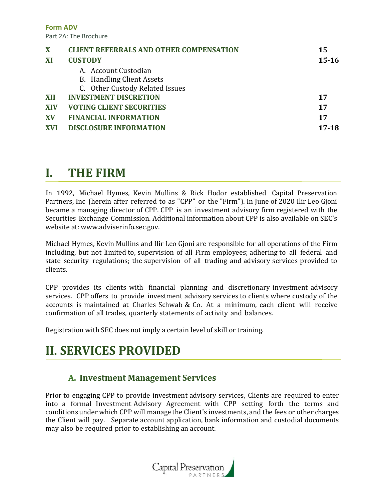**Form ADV** Part 2A: The Brochure

| X          | <b>CLIENT REFERRALS AND OTHER COMPENSATION</b> | 15        |
|------------|------------------------------------------------|-----------|
| XI         | <b>CUSTODY</b>                                 | $15 - 16$ |
|            | A. Account Custodian                           |           |
|            | <b>B.</b> Handling Client Assets               |           |
|            | C. Other Custody Related Issues                |           |
| XII        | <b>INVESTMENT DISCRETION</b>                   | 17        |
| <b>XIV</b> | <b>VOTING CLIENT SECURITIES</b>                | 17        |
| <b>XV</b>  | <b>FINANCIAL INFORMATION</b>                   | 17        |
| <b>XVI</b> | <b>DISCLOSURE INFORMATION</b>                  | 17-18     |

### **I. THE FIRM**

In 1992, Michael Hymes, Kevin Mullins & Rick Hodor established Capital Preservation Partners, Inc (herein after referred to as "CPP" or the "Firm"). In June of 2020 Ilir Leo Gjoni became a managing director of CPP. CPP is an investment advisory firm registered with the Securities Exchange Commission. Additional information about CPP is also available on SEC's website at: www.adviserinfo.sec.gov.

Michael Hymes, Kevin Mullins and Ilir Leo Gjoni are responsible for all operations of the Firm including, but not limited to, supervision of all Firm employees; adhering to all federal and state security regulations; the supervision of all trading and advisory services provided to clients.

CPP provides its clients with financial planning and discretionary investment advisory services. CPP offers to provide investment advisory services to clients where custody of the accounts is maintained at Charles Schwab & Co. At a minimum, each client will receive confirmation of all trades, quarterly statements of activity and balances.

Registration with SEC does not imply a certain level of skill or training.

# **II. SERVICES PROVIDED**

#### **A. Investment Management Services**

Prior to engaging CPP to provide investment advisory services, Clients are required to enter into a formal Investment Advisory Agreement with CPP setting forth the terms and conditionsunder which CPP will manage the Client's investments, and the fees or other charges the Client will pay. Separate account application, bank information and custodial documents may also be required prior to establishing an account.

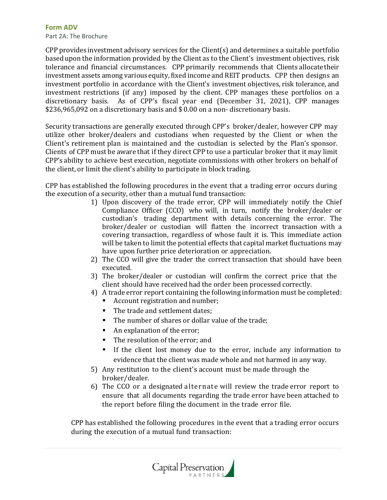**Form ADV** Part 2A: The Brochure

CPP provides investment advisory services for the Client(s) and determines a suitable portfolio based upon the information provided by the Client as to the Client's investment objectives, risk tolerance and financial circumstances. CPP primarily recommends that Clients allocate their investment assets among various equity, fixed income and REIT products. CPP then designs an investment portfolio in accordance with the Client's investment objectives, risk tolerance, and investment restrictions (if any) imposed by the client. CPP manages these portfolios on a discretionary basis. As of CPP's fiscal year end (December 31, 2021), CPP manages \$236,965,092 on a discretionary basis and \$ 0.00 on a non- discretionary basis.

Security transactions are generally executed through CPP's broker/dealer, however CPP may utilize other broker/dealers and custodians when requested by the Client or when the Client's retirement plan is maintained and the custodian is selected by the Plan's sponsor. Clients of CPP must be aware that if they direct CPP to use a particular broker that it may limit CPP's ability to achieve best execution, negotiate commissions with other brokers on behalf of the client, or limit the client's ability to participate in block trading.

CPP has established the following procedures in the event that a trading error occurs during the execution of a security, other than a mutual fund transaction:

- 1) Upon discovery of the trade error, CPP will immediately notify the Chief Compliance Officer (CCO) who will, in turn, notify the broker/dealer or custodian's trading department with details concerning the error. The broker/dealer or custodian will flatten the incorrect transaction with a covering transaction, regardless of whose fault it is. This immediate action will be taken to limit the potential effects that capital market fluctuations may have upon further price deterioration or appreciation.
- 2) The CCO will give the trader the correct transaction that should have been executed.
- 3) The broker/dealer or custodian will confirm the correct price that the client should have received had the order been processed correctly.
- 4) A trade error report containing the following information must be completed:
	- Account registration and number;
	- The trade and settlement dates:
	- The number of shares or dollar value of the trade;
	- An explanation of the error;
	- The resolution of the error; and
	- If the client lost money due to the error, include any information to evidence that the client was made whole and not harmed in any way.
- 5) Any restitution to the client's account must be made through the broker/dealer.
- 6) The CCO or a designated alternate will review the trade error report to ensure that all documents regarding the trade error have been attached to the report before filing the document in the trade error file.

CPP has established the following procedures in the event that a trading error occurs during the execution of a mutual fund transaction:

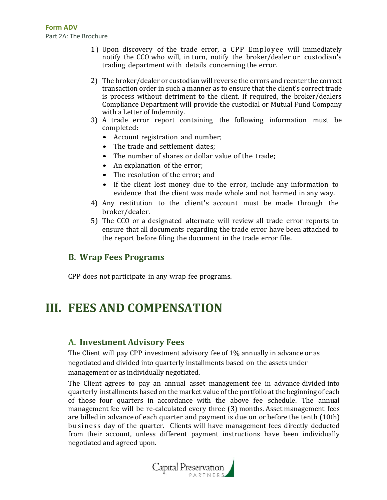- 1 ) Upon discovery of the trade error, a CPP Employee will immediately notify the CCO who will, in turn, notify the broker/dealer or custodian's trading department with details concerning the error.
- 2) The broker/dealer or custodian will reverse the errors and reenter the correct transaction order in such a manner as to ensure that the client's correct trade is process without detriment to the client. If required, the broker/dealers Compliance Department will provide the custodial or Mutual Fund Company with a Letter of Indemnity.
- 3) A trade error report containing the following information must be completed:
	- Account registration and number;
	- The trade and settlement dates:
	- The number of shares or dollar value of the trade;
	- An explanation of the error;
	- The resolution of the error; and
	- If the client lost money due to the error, include any information to evidence that the client was made whole and not harmed in any way.
- 4) Any restitution to the client's account must be made through the broker/dealer.
- 5) The CCO or a designated alternate will review all trade error reports to ensure that all documents regarding the trade error have been attached to the report before filing the document in the trade error file.

#### **B. Wrap Fees Programs**

CPP does not participate in any wrap fee programs.

### **III. FEES AND COMPENSATION**

#### **A. Investment Advisory Fees**

The Client will pay CPP investment advisory fee of 1% annually in advance or as negotiated and divided into quarterly installments based on the assets under management or as individually negotiated.

The Client agrees to pay an annual asset management fee in advance divided into quarterly installments basedon the market valueof the portfolio at the beginning of each of those four quarters in accordance with the above fee schedule. The annual management fee will be re-calculated every three (3) months. Asset management fees are billed in advance of each quarter and payment is due on or before the tenth (10th) busine ss day of the quarter. Clients will have management fees directly deducted from their account, unless different payment instructions have been individually negotiated and agreed upon.

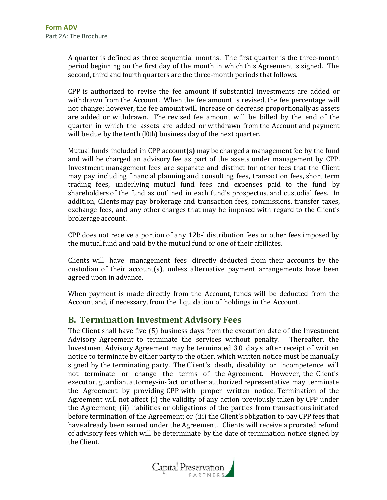A quarter is defined as three sequential months. The first quarter is the three-month period beginning on the first day of the month in which this Agreement is signed. The second, third and fourth quarters are the three-month periods that follows.

CPP is authorized to revise the fee amount if substantial investments are added or withdrawn from the Account. When the fee amount is revised, the fee percentage will not change; however, the fee amount will increase or decrease proportionally as assets are added or withdrawn. The revised fee amount will be billed by the end of the quarter in which the assets are added or withdrawn from the Account and payment will be due by the tenth (l0th) business day of the next quarter.

Mutual funds included in CPP account(s) may be charged a management fee by the fund and will be charged an advisory fee as part of the assets under management by CPP. Investment management fees are separate and distinct for other fees that the Client may pay including financial planning and consulting fees, transaction fees, short term trading fees, underlying mutual fund fees and expenses paid to the fund by shareholders of the fund as outlined in each fund's prospectus, and custodial fees. In addition, Clients may pay brokerage and transaction fees, commissions, transfer taxes, exchange fees, and any other charges that may be imposed with regard to the Client's brokerage account.

CPP does not receive a portion of any 12b-l distribution fees or other fees imposed by the mutual fund and paid by the mutual fund or one of their affiliates.

Clients will have management fees directly deducted from their accounts by the custodian of their account(s), unless alternative payment arrangements have been agreed upon in advance.

When payment is made directly from the Account, funds will be deducted from the Account and, if necessary, from the liquidation of holdings in the Account.

#### **B. Termination Investment Advisory Fees**

The Client shall have five (5) business days from the execution date of the Investment Advisory Agreement to terminate the services without penalty. Thereafter, the Investment Advisory Agreement may be terminated 30 days after receipt of written notice to terminate by either party to the other, which written notice must be manually signed by the terminating party. The Client's death, disability or incompetence will not terminate or change the terms of the Agreement. However, the Client's executor, guardian, attorney-in-fact or other authorized representative may terminate the Agreement by providing CPP with proper written notice. Termination of the Agreement will not affect (i) the validity of any action previously taken by CPP under the Agreement; (ii) liabilities or obligations of the parties from transactions initiated before termination of the Agreement; or (iii) the Client's obligation to pay CPP fees that have already been earned under the Agreement. Clients will receive a prorated refund of advisory fees which will be determinate by the date of termination notice signed by the Client.

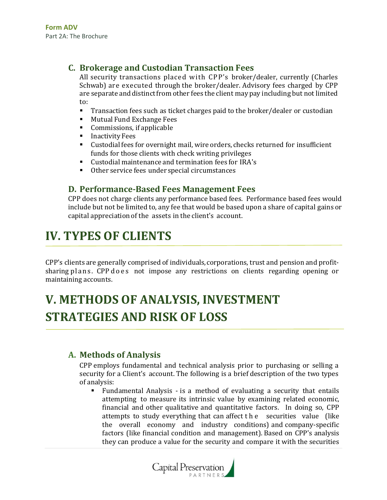#### **C. Brokerage and Custodian Transaction Fees**

All security transactions placed with CPP's broker/dealer, currently (Charles Schwab) are executed through the broker/dealer. Advisory fees charged by CPP are separate and distinct from other fees the client may pay including but not limited to:

- **Transaction fees such as ticket charges paid to the broker/dealer or custodian**
- Mutual Fund Exchange Fees
- Commissions, if applicable
- Inactivity Fees
- Custodial fees for overnight mail, wire orders, checks returned for insufficient funds for those clients with check writing privileges
- Custodial maintenance and termination fees for IRA's
- Other service fees under special circumstances

#### **D. Performance-Based Fees Management Fees**

CPP does not charge clients any performance based fees. Performance based fees would include but not be limited to, any fee that would be based upon a share of capital gains or capital appreciation of the assets in the client's account.

# **IV. TYPES OF CLIENTS**

CPP's clients are generally comprised of individuals,corporations, trust and pension and profitsharing plans. CPP does not impose any restrictions on clients regarding opening or maintaining accounts.

# **V. METHODS OF ANALYSIS, INVESTMENT STRATEGIES AND RISK OF LOSS**

#### **A. Methods of Analysis**

CPP employs fundamental and technical analysis prior to purchasing or selling a security for a Client's account. The following is a brief description of the two types of analysis:

▪ Fundamental Analysis - is a method of evaluating a security that entails attempting to measure its intrinsic value by examining related economic, financial and other qualitative and quantitative factors. In doing so, CPP attempts to study everything that can affect t h e securities value (like the overall economy and industry conditions) and company-specific factors (like financial condition and management). Based on CPP's analysis they can produce a value for the security and compare it with the securities

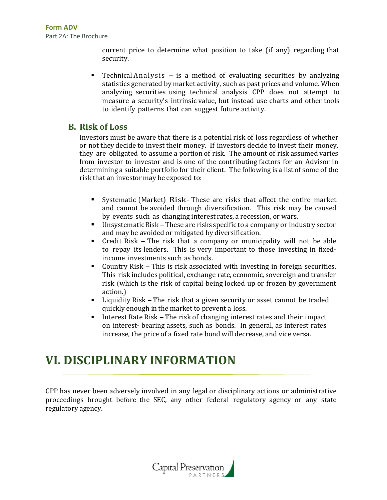current price to determine what position to take (if any) regarding that security.

**•** Technical Analysis  $-$  is a method of evaluating securities by analyzing statistics generated by market activity, such as past prices and volume. When analyzing securities using technical analysis CPP does not attempt to measure a security's intrinsic value, but instead use charts and other tools to identify patterns that can suggest future activity.

#### **B. Risk of Loss**

Investors must be aware that there is a potential risk of loss regardless of whether or not they decide to invest their money. If investors decide to invest their money, they are obligated to assume a portion of risk. The amount of risk assumed varies from investor to investor and is one of the contributing factors for an Advisor in determining a suitable portfolio for their client. The following is a list of some of the risk that an investor may be exposed to:

- Systematic (Market) Risk- These are risks that affect the entire market and cannot be avoided through diversification. This risk may be caused by events such as changing interest rates, a recession, or wars.
- Unsystematic Risk These are risks specific to a company or industry sector and may be avoided or mitigated by diversification.
- Credit Risk -The risk that <sup>a</sup> company or municipality will not be able to repay its lenders. This is very important to those investing in fixedincome investments such as bonds.
- Country Risk This is risk associated with investing in foreign securities. This risk includes political, exchange rate, economic, sovereign and transfer risk (which is the risk of capital being locked up or frozen by government action.)
- Liquidity Risk -The risk that <sup>a</sup> given security or asset cannot be traded quickly enough in the market to prevent a loss.
- Interest Rate Risk The risk of changing interest rates and their impact on interest- bearing assets, such as bonds. In general, as interest rates increase, the price of a fixed rate bond will decrease, and vice versa.

### **VI. DISCIPLINARY INFORMATION**

CPP has never been adversely involved in any legal or disciplinary actions or administrative proceedings brought before the SEC, any other federal regulatory agency or any state regulatory agency.

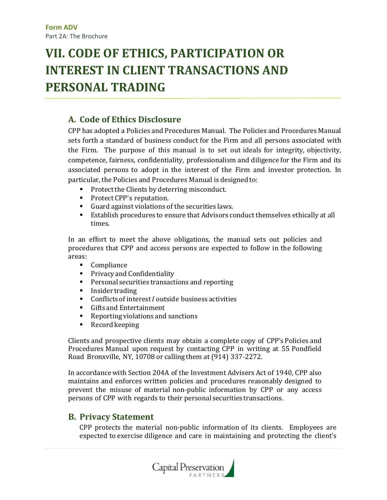# **VII. CODE OF ETHICS, PARTICIPATION OR INTEREST IN CLIENT TRANSACTIONS AND PERSONAL TRADING**

#### **A. Code of Ethics Disclosure**

CPP has adopted a Policies and Procedures Manual. The Policies and Procedures Manual sets forth a standard of business conduct for the Firm and all persons associated with the Firm. The purpose of this manual is to set out ideals for integrity, objectivity, competence, fairness, confidentiality, professionalism and diligence for the Firm and its associated persons to adopt in the interest of the Firm and investor protection. In particular, the Policies and Procedures Manual is designed to:

- Protect the Clients by deterring misconduct.
- Protect CPP's reputation.
- Guard against violations of the securities laws.
- Establish procedures to ensure that Advisors conduct themselves ethically at all times.

In an effort to meet the above obligations, the manual sets out policies and procedures that CPP and access persons are expected to follow in the following areas:

- Compliance
- Privacy and Confidentiality
- Personal securities transactions and reporting
- Insider trading
- Conflicts of interest *I* outside business activities
- Gifts and Entertainment
- Reporting violations and sanctions
- Record keeping

Clients and prospective clients may obtain a complete copy of CPP's Policies and Procedures Manual upon request by contacting CPP in writing at 55 Pondfield Road Bronxville, NY, 10708 or calling them at (914) 337-2272.

In accordancewith Section 204A of the Investment Advisers Act of 1940, CPP also maintains and enforces written policies and procedures reasonably designed to prevent the misuse of material non-public information by CPP or any access persons of CPP with regards to their personal securities transactions.

#### **B. Privacy Statement**

CPP protects the material non-public information of its clients. Employees are expected to exercise diligence and care in maintaining and protecting the client's

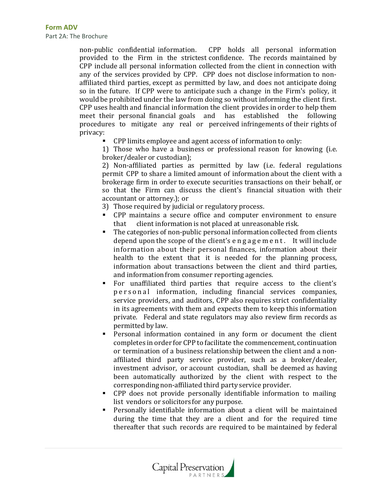non-public confidential information. CPP holds all personal information provided to the Firm in the strictest confidence. The records maintained by CPP include all personal information collected from the client in connection with any of the services provided by CPP. CPP does not disclose information to nonaffiliated third parties, except as permitted by law, and does not anticipate doing so in the future. If CPP were to anticipate such a change in the Firm's policy, it would be prohibited under the law from doing so without informing the client first. CPP uses health and financial information the client provides in order to help them meet their personal financial goals and has established the following procedures to mitigate any real or perceived infringements of their rights of privacy:

CPP limits employee and agent access of information to only:

1) Those who have a business or professional reason for knowing (i.e. broker/dealer or custodian);

2) Non-affiliated parties as permitted by law (i.e. federal regulations permit CPP to share a limited amount of information about the client with a brokerage firm in order to execute securities transactions on their behalf, or so that the Firm can discuss the client's financial situation with their accountant or attorney.); or

3) Those required by judicial or regulatory process.

- CPP maintains a secure office and computer environment to ensure that client information is not placed at unreasonable risk.
- The categories of non-public personal information collected from clients depend upon the scope of the client's engagement. It will include information about their personal finances, information about their health to the extent that it is needed for the planning process, information about transactions between the client and third parties, and information from consumer reporting agencies.
- For unaffiliated third parties that require access to the client's p e r s o n a l information, including financial services companies, service providers, and auditors, CPP also requires strict confidentiality in its agreements with them and expects them to keep this information private. Federal and state regulators may also review firm records as permitted by law.
- Personal information contained in any form or document the client completes in order for CPP to facilitate the commencement, continuation or termination of a business relationship between the client and a nonaffiliated third party service provider, such as a broker/dealer, investment advisor, or account custodian, shall be deemed as having been automatically authorized by the client with respect to the corresponding non-affiliated third party service provider.
- CPP does not provide personally identifiable information to mailing list vendors or solicitors for any purpose.
- Personally identifiable information about a client will be maintained during the time that they are a client and for the required time thereafter that such records are required to be maintained by federal

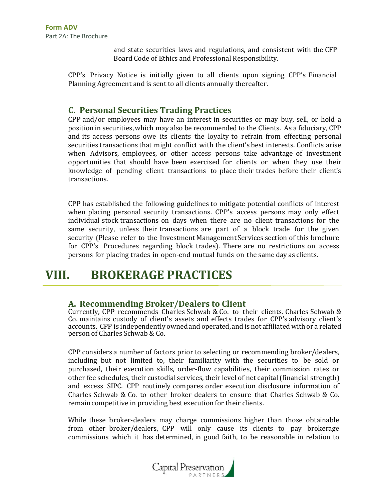and state securities laws and regulations, and consistent with the CFP Board Code of Ethics and Professional Responsibility.

CPP's Privacy Notice is initially given to all clients upon signing CPP's Financial Planning Agreement and is sent to all clients annually thereafter.

#### **C. Personal Securities Trading Practices**

CPP and/or employees may have an interest in securities or may buy, sell, or hold a position in securities,which may also be recommended to the Clients. As a fiduciary, CPP and its access persons owe its clients the loyalty to refrain from effecting personal securities transactions that might conflict with the client's best interests. Conflicts arise when Advisors, employees, or other access persons take advantage of investment opportunities that should have been exercised for clients or when they use their knowledge of pending client transactions to place their trades before their client's transactions.

CPP has established the following guidelines to mitigate potential conflicts of interest when placing personal security transactions. CPP's access persons may only effect individual stock transactions on days when there are no client transactions for the same security, unless their transactions are part of a block trade for the given security (Please refer to the Investment Management Services section of this brochure for CPP's Procedures regarding block trades). There are no restrictions on access persons for placing trades in open-end mutual funds on the same day as clients.

### **VIII. BROKERAGE PRACTICES**

#### **A. Recommending Broker/Dealers to Client**

Currently, CPP recommends Charles Schwab & Co. to their clients. Charles Schwab & Co. maintains custody of client's assets and effects trades for CPP's advisory client's accounts. CPP is independently ownedand operated,and is not affiliated with or a related person of Charles Schwab & Co.

CPP considers a number of factors prior to selecting or recommending broker/dealers, including but not limited to, their familiarity with the securities to be sold or purchased, their execution skills, order-flow capabilities, their commission rates or other fee schedules, their custodial services, their level of net capital(financial strength) and excess SIPC. CPP routinely compares order execution disclosure information of Charles Schwab & Co. to other broker dealers to ensure that Charles Schwab & Co. remain competitive in providing best execution for their clients.

While these broker-dealers may charge commissions higher than those obtainable from other broker/dealers, CPP will only cause its clients to pay brokerage commissions which it has determined, in good faith, to be reasonable in relation to

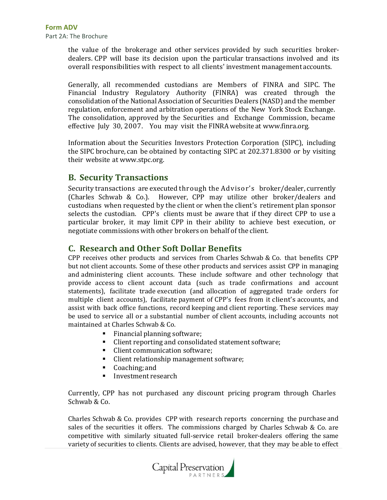the value of the brokerage and other services provided by such securities brokerdealers. CPP will base its decision upon the particular transactions involved and its overall responsibilities with respect to all clients' investment management accounts.

Generally, all recommended custodians are Members of FINRA and SIPC. The Financial Industry Regulatory Authority (FINRA) was created through the consolidation of the National Association of Securities Dealers (NASD) and the member regulation, enforcement and arbitration operations of the New York Stock Exchange. The consolidation, approved by the Securities and Exchange Commission, became effective July 30, 2007. You may visit the FINRAwebsite at [www.finra.org.](http://www.finra.org/)

Information about the Securities Investors Protection Corporation (SIPC), including the SIPC brochure, can be obtained by contacting SIPC at 202.371.8300 or by visiting their website a[t www.stpc.org.](http://www.stpc.org/)

#### **B. Security Transactions**

Security transactions are executed through the Advisor's broker/dealer, currently (Charles Schwab & Co.). However, CPP may utilize other broker/dealers and custodians when requested by the client or when the client's retirement plan sponsor selects the custodian. CPP's clients must be aware that if they direct CPP to use a particular broker, it may limit CPP in their ability to achieve best execution, or negotiate commissions with other brokers on behalf of the client.

#### **C. Research and Other Soft Dollar Benefits**

CPP receives other products and services from Charles Schwab & Co. that benefits CPP but not client accounts. Some of these other products and services assist CPP in managing and administering client accounts. These include software and other technology that provide access to client account data (such as trade confirmations and account statements), facilitate trade execution (and allocation of aggregated trade orders for multiple client accounts), facilitate payment of CPP's fees from it client's accounts, and assist with back office functions, record keeping and client reporting. These services may be used to service all or a substantial number of client accounts, including accounts not maintained at Charles Schwab & Co.

- Financial planning software;
- Client reporting and consolidated statement software;
- Client communication software;
- Client relationship management software;
- Coaching; and
- Investment research

Currently, CPP has not purchased any discount pricing program through Charles Schwab & Co.

Charles Schwab & Co. provides CPP with research reports concerning the purchase and sales of the securities it offers. The commissions charged by Charles Schwab & Co. are competitive with similarly situated full-service retail broker-dealers offering the same variety of securities to clients. Clients are advised, however, that they may be able to effect

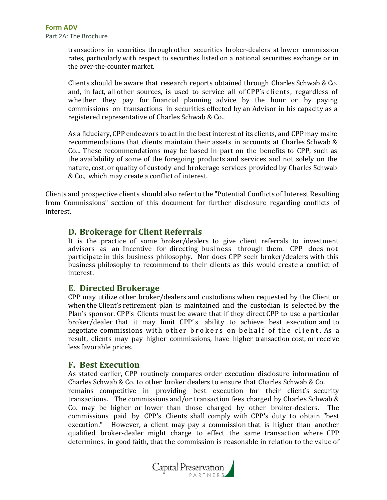transactions in securities through other securities broker-dealers at lower commission rates, particularly with respect to securities listed on a national securities exchange or in the over-the-counter market.

Clients should be aware that research reports obtained through Charles Schwab & Co. and, in fact, all other sources, is used to service all of CPP's clients, regardless of whether they pay for financial planning advice by the hour or by paying commissions on transactions in securities effected by an Advisor in his capacity as a registered representative of Charles Schwab & Co..

As a fiduciary, CPP endeavors to act in the best interest of its clients, and CPP may make recommendations that clients maintain their assets in accounts at Charles Schwab & Co... These recommendations may be based in part on the benefits to CPP, such as the availability of some of the foregoing products and services and not solely on the nature, cost, or quality of custody and brokerage services provided by Charles Schwab & Co., which may create a conflict of interest.

Clients and prospective clients should also refer to the "Potential Conflicts of Interest Resulting from Commissions" section of this document for further disclosure regarding conflicts of interest.

#### **D. Brokerage for Client Referrals**

It is the practice of some broker/dealers to give client referrals to investment advisors as an Incentive for directing business through them. CPP does not participate in this business philosophy. Nor does CPP seek broker/dealers with this business philosophy to recommend to their clients as this would create a conflict of interest.

#### **E. Directed Brokerage**

CPP may utilize other broker/dealers and custodians when requested by the Client or when the Client's retirement plan is maintained and the custodian is selected by the Plan's sponsor. CPP's Clients must be aware that if they direct CPP to use a particular broker/dealer that it may limit CPP' s ability to achieve best execution and to negotiate commissions with other brokers on behalf of the client. As a result, clients may pay higher commissions, have higher transaction cost, or receive less favorable prices.

#### **F. Best Execution**

As stated earlier, CPP routinely compares order execution disclosure information of Charles Schwab & Co. to other broker dealers to ensure that Charles Schwab & Co.

remains competitive in providing best execution for their client's security transactions. The commissions and/or transaction fees charged by Charles Schwab & Co. may be higher or lower than those charged by other broker-dealers. The commissions paid by CPP's Clients shall comply with CPP's duty to obtain "best execution." However, a client may pay a commission that is higher than another qualified broker-dealer might charge to effect the same transaction where CPP determines, in good faith, that the commission is reasonable in relation to the value of

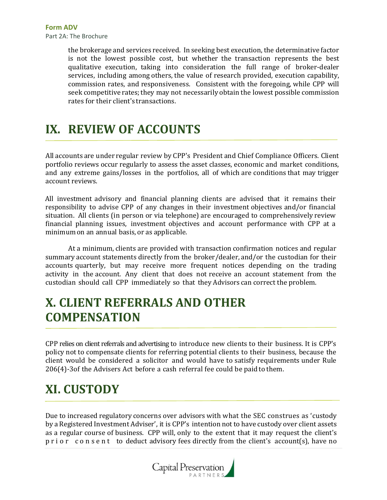the brokerage and services received. In seeking best execution, the determinative factor is not the lowest possible cost, but whether the transaction represents the best qualitative execution, taking into consideration the full range of broker-dealer services, including among others, the value of research provided, execution capability, commission rates, and responsiveness. Consistent with the foregoing, while CPP will seek competitive rates; they may not necessarily obtain the lowest possible commission rates for their client's transactions.

# **IX. REVIEW OF ACCOUNTS**

All accounts are under regular review by CPP's President and Chief Compliance Officers. Client portfolio reviews occur regularly to assess the asset classes, economic and market conditions, and any extreme gains/losses in the portfolios, all of which are conditions that may trigger account reviews.

All investment advisory and financial planning clients are advised that it remains their responsibility to advise CPP of any changes in their investment objectives and/or financial situation. All clients (in person or via telephone) are encouraged to comprehensively review financial planning issues, investment objectives and account performance with CPP at a minimum on an annual basis, or as applicable.

At a minimum, clients are provided with transaction confirmation notices and regular summary account statements directly from the broker/dealer, and/or the custodian for their accounts quarterly, but may receive more frequent notices depending on the trading activity in the account. Any client that does not receive an account statement from the custodian should call CPP immediately so that they Advisors can correct the problem.

# **X. CLIENT REFERRALS AND OTHER COMPENSATION**

CPP relies on client referrals and advertising to introduce new clients to their business. It is CPP's policy not to compensate clients for referring potential clients to their business, because the client would be considered a solicitor and would have to satisfy requirements under Rule 206(4)-3of the Advisers Act before a cash referral fee could be paid to them.

# **XI. CUSTODY**

Due to increased regulatory concerns over advisors with what the SEC construes as 'custody by a Registered Investment Adviser', it is CPP's intention not to have custody over client assets as a regular course of business. CPP will, only to the extent that it may request the client's p r i o r c o n s e n t to deduct advisory fees directly from the client's account(s), have no

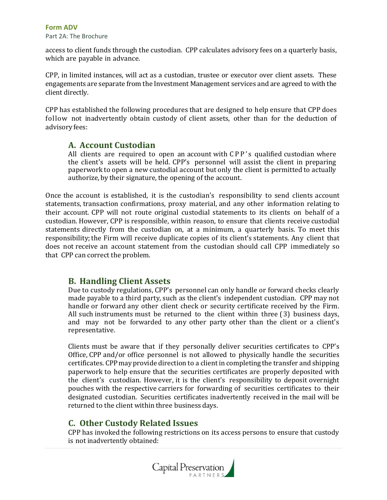#### **Form ADV**

Part 2A: The Brochure

access to client funds through the custodian. CPP calculates advisory fees on a quarterly basis, which are payable in advance.

CPP, in limited instances, will act as a custodian, trustee or executor over client assets. These engagements are separate from the Investment Management services and are agreed to with the client directly.

CPP has established the following procedures that are designed to help ensure that CPP does follow not inadvertently obtain custody of client assets, other than for the deduction of advisory fees:

#### **A. Account Custodian**

All clients are required to open an account with  $\mathcal{CP}P$ 's qualified custodian where the client's assets will be held. CPP's personnel will assist the client in preparing paperwork to open a new custodial account but only the client is permitted to actually authorize, by their signature, the opening of the account.

Once the account is established, it is the custodian's responsibility to send clients account statements, transaction confirmations, proxy material, and any other information relating to their account. CPP will not route original custodial statements to its clients on behalf of a custodian. However, CPP is responsible, within reason, to ensure that clients receive custodial statements directly from the custodian on, at a minimum, a quarterly basis. To meet this responsibility;the Firm will receive duplicate copies of its client's statements. Any client that does not receive an account statement from the custodian should call CPP immediately so that CPP can correct the problem.

#### **B. Handling Client Assets**

Due to custody regulations, CPP's personnel can only handle or forward checks clearly made payable to a third party, such as the client's independent custodian. CPP may not handle or forward any other client check or security certificate received by the Firm. All such instruments must be returned to the client within three (3) business days, and may not be forwarded to any other party other than the client or a client's representative.

Clients must be aware that if they personally deliver securities certificates to CPP's Office, CPP and/or office personnel is not allowed to physically handle the securities certificates. CPPmay provide direction to a client in completingthe transfer and shipping paperwork to help ensure that the securities certificates are properly deposited with the client's custodian. However, it is the client's responsibility to deposit overnight pouches with the respective carriers for forwarding of securities certificates to their designated custodian. Securities certificates inadvertently received in the mail will be returned to the client within three business days.

#### **C. Other Custody Related Issues**

CPP has invoked the following restrictions on its access persons to ensure that custody is not inadvertently obtained:

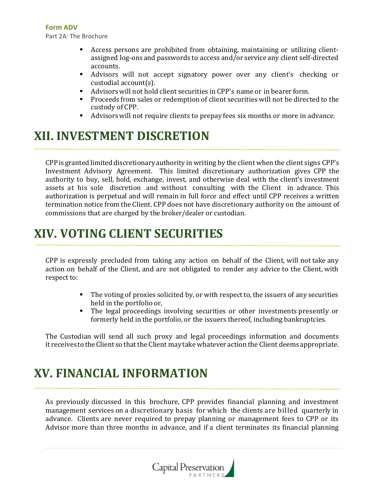- Access persons are prohibited from obtaining, maintaining or utilizing clientassigned log-ons and passwords to access and/or service any client self-directed accounts.
- Advisors will not accept signatory power over any client's checking or custodial account(s).
- Advisors will not hold client securities in CPP's name or in bearer form.
- **•** Proceeds from sales or redemption of client securities will not be directed to the custody of CPP.
- Advisorswill not require clients to prepay fees six months or more in advance.

# **XII. INVESTMENT DISCRETION**

CPPis granted limited discretionaryauthority in writing by the client when the client signs CPP's Investment Advisory Agreement. This limited discretionary authorization gives CPP the authority to buy, sell, hold, exchange, invest, and otherwise deal with the client's investment assets at his sole discretion and without consulting with the Client in advance. This authorization is perpetual and will remain in full force and effect until CPP receives a written termination notice from the Client. CPP does not have discretionary authority on the amount of commissions that are charged by the broker/dealer or custodian.

# **XIV. VOTING CLIENT SECURITIES**

CPP is expressly precluded from taking any action on behalf of the Client, will not take any action on behalf of the Client, and are not obligated to render any advice to the Client, with respect to:

- **•** The voting of proxies solicited by, or with respect to, the issuers of any securities held in the portfolio or,
- The legal proceedings involving securities or other investments presently or formerly held in the portfolio, or the issuers thereof, including bankruptcies.

The Custodian will send all such proxy and legal proceedings information and documents it receives to the Client so that the Client may take whatever action the Client deems appropriate.

# **XV. FINANCIAL INFORMATION**

As previously discussed in this brochure, CPP provides financial planning and investment management services on a discretionary basis for which the clients are billed quarterly in advance. Clients are never required to prepay planning or management fees to CPP or its Advisor more than three months in advance, and if a client terminates its financial planning